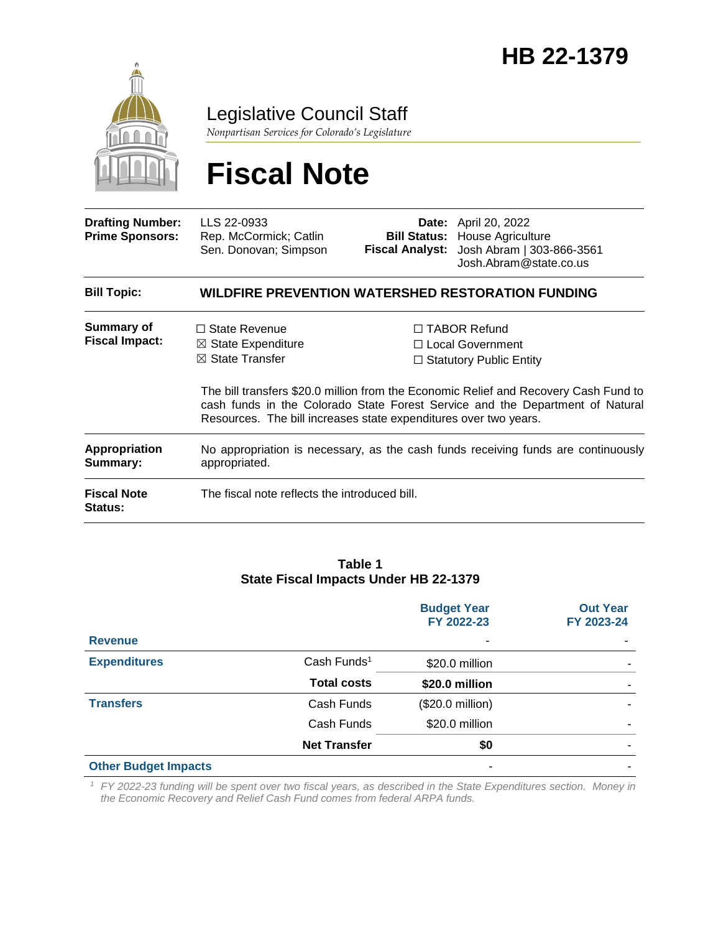

Legislative Council Staff

*Nonpartisan Services for Colorado's Legislature*

# **Fiscal Note**

| <b>Drafting Number:</b><br><b>Prime Sponsors:</b> | LLS 22-0933<br>Rep. McCormick; Catlin<br>Sen. Donovan; Simpson                                                                                                                                                                            |  | <b>Date:</b> April 20, 2022<br><b>Bill Status: House Agriculture</b><br>Fiscal Analyst: Josh Abram   303-866-3561<br>Josh.Abram@state.co.us |  |
|---------------------------------------------------|-------------------------------------------------------------------------------------------------------------------------------------------------------------------------------------------------------------------------------------------|--|---------------------------------------------------------------------------------------------------------------------------------------------|--|
| <b>Bill Topic:</b>                                | WILDFIRE PREVENTION WATERSHED RESTORATION FUNDING                                                                                                                                                                                         |  |                                                                                                                                             |  |
| <b>Summary of</b><br><b>Fiscal Impact:</b>        | $\Box$ State Revenue<br>$\boxtimes$ State Expenditure<br>$\boxtimes$ State Transfer                                                                                                                                                       |  | $\Box$ TABOR Refund<br>$\Box$ Local Government<br>$\Box$ Statutory Public Entity                                                            |  |
|                                                   | The bill transfers \$20.0 million from the Economic Relief and Recovery Cash Fund to<br>cash funds in the Colorado State Forest Service and the Department of Natural<br>Resources. The bill increases state expenditures over two years. |  |                                                                                                                                             |  |
| Appropriation<br>Summary:                         | No appropriation is necessary, as the cash funds receiving funds are continuously<br>appropriated.                                                                                                                                        |  |                                                                                                                                             |  |
| <b>Fiscal Note</b><br><b>Status:</b>              | The fiscal note reflects the introduced bill.                                                                                                                                                                                             |  |                                                                                                                                             |  |

#### **Table 1 State Fiscal Impacts Under HB 22-1379**

|                             |                         | <b>Budget Year</b><br>FY 2022-23 | <b>Out Year</b><br>FY 2023-24 |
|-----------------------------|-------------------------|----------------------------------|-------------------------------|
| <b>Revenue</b>              |                         | ۰                                |                               |
| <b>Expenditures</b>         | Cash Funds <sup>1</sup> | \$20.0 million                   |                               |
|                             | <b>Total costs</b>      | \$20.0 million                   |                               |
| <b>Transfers</b>            | Cash Funds              | (\$20.0 million)                 |                               |
|                             | Cash Funds              | \$20.0 million                   |                               |
|                             | <b>Net Transfer</b>     | \$0                              |                               |
| <b>Other Budget Impacts</b> |                         |                                  |                               |

*<sup>1</sup> FY 2022-23 funding will be spent over two fiscal years, as described in the State Expenditures section. Money in the Economic Recovery and Relief Cash Fund comes from federal ARPA funds.*